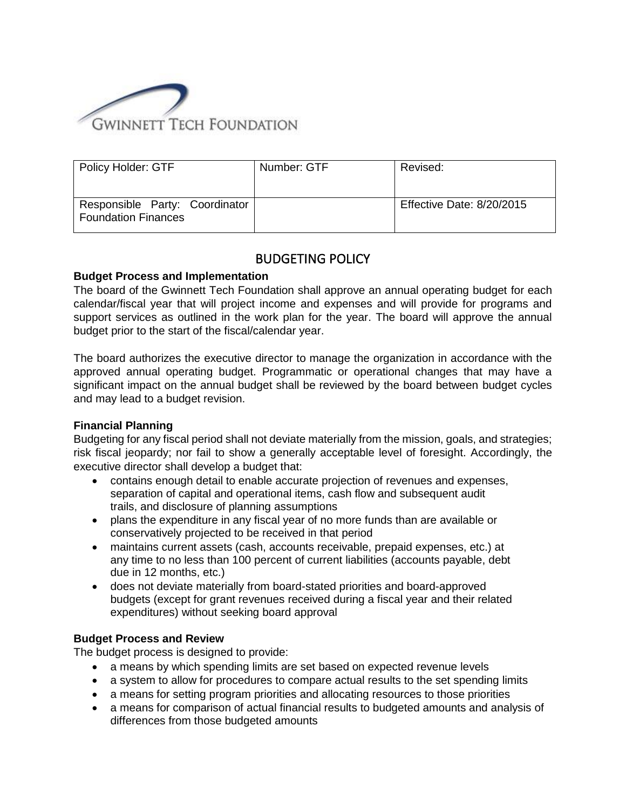

| <b>Policy Holder: GTF</b>                                    | Number: GTF | Revised:                  |
|--------------------------------------------------------------|-------------|---------------------------|
| Responsible Party: Coordinator<br><b>Foundation Finances</b> |             | Effective Date: 8/20/2015 |

# BUDGETING POLICY

# **Budget Process and Implementation**

The board of the Gwinnett Tech Foundation shall approve an annual operating budget for each calendar/fiscal year that will project income and expenses and will provide for programs and support services as outlined in the work plan for the year. The board will approve the annual budget prior to the start of the fiscal/calendar year.

The board authorizes the executive director to manage the organization in accordance with the approved annual operating budget. Programmatic or operational changes that may have a significant impact on the annual budget shall be reviewed by the board between budget cycles and may lead to a budget revision.

# **Financial Planning**

Budgeting for any fiscal period shall not deviate materially from the mission, goals, and strategies; risk fiscal jeopardy; nor fail to show a generally acceptable level of foresight. Accordingly, the executive director shall develop a budget that:

- contains enough detail to enable accurate projection of revenues and expenses, separation of capital and operational items, cash flow and subsequent audit trails, and disclosure of planning assumptions
- plans the expenditure in any fiscal year of no more funds than are available or conservatively projected to be received in that period
- maintains current assets (cash, accounts receivable, prepaid expenses, etc.) at any time to no less than 100 percent of current liabilities (accounts payable, debt due in 12 months, etc.)
- does not deviate materially from board-stated priorities and board-approved budgets (except for grant revenues received during a fiscal year and their related expenditures) without seeking board approval

#### **Budget Process and Review**

The budget process is designed to provide:

- a means by which spending limits are set based on expected revenue levels
- a system to allow for procedures to compare actual results to the set spending limits
- a means for setting program priorities and allocating resources to those priorities
- a means for comparison of actual financial results to budgeted amounts and analysis of differences from those budgeted amounts